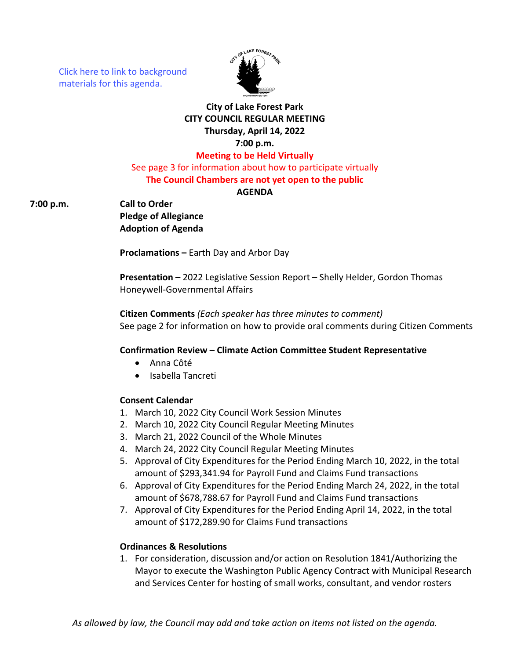[Click here to link to background](https://media.avcaptureall.cloud/meeting/ecfb4546-054a-44d5-9838-2b89e4f788ca) materials for this agenda.



# **City of Lake Forest Park CITY COUNCIL REGULAR MEETING Thursday, April 14, 2022 7:00 p.m. Meeting to be Held Virtually**

See page 3 for information about how to participate virtually **The Council Chambers are not yet open to the public**

**AGENDA**

**7:00 p.m. Call to Order**

**Pledge of Allegiance Adoption of Agenda**

**Proclamations –** Earth Day and Arbor Day

**Presentation –** 2022 Legislative Session Report – Shelly Helder, Gordon Thomas Honeywell-Governmental Affairs

**Citizen Comments** *(Each speaker has three minutes to comment)* See page 2 for information on how to provide oral comments during Citizen Comments

# **Confirmation Review – Climate Action Committee Student Representative**

- Anna Côté
- Isabella Tancreti

# **Consent Calendar**

- 1. March 10, 2022 City Council Work Session Minutes
- 2. March 10, 2022 City Council Regular Meeting Minutes
- 3. March 21, 2022 Council of the Whole Minutes
- 4. March 24, 2022 City Council Regular Meeting Minutes
- 5. Approval of City Expenditures for the Period Ending March 10, 2022, in the total amount of \$293,341.94 for Payroll Fund and Claims Fund transactions
- 6. Approval of City Expenditures for the Period Ending March 24, 2022, in the total amount of \$678,788.67 for Payroll Fund and Claims Fund transactions
- 7. Approval of City Expenditures for the Period Ending April 14, 2022, in the total amount of \$172,289.90 for Claims Fund transactions

# **Ordinances & Resolutions**

1. For consideration, discussion and/or action on Resolution 1841/Authorizing the Mayor to execute the Washington Public Agency Contract with Municipal Research and Services Center for hosting of small works, consultant, and vendor rosters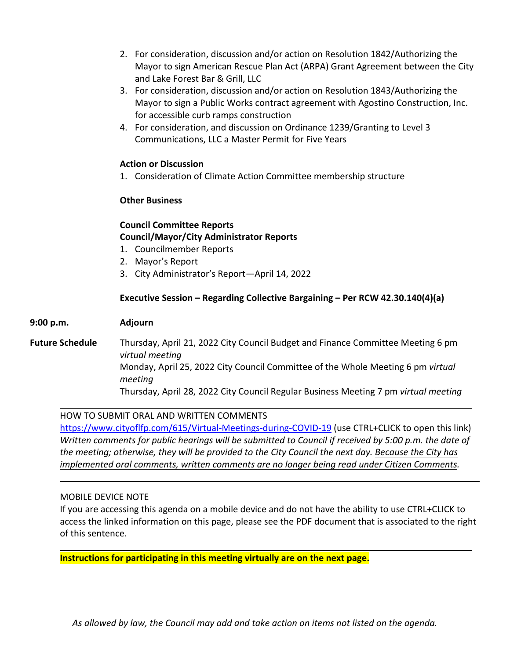- 2. For consideration, discussion and/or action on Resolution 1842/Authorizing the Mayor to sign American Rescue Plan Act (ARPA) Grant Agreement between the City and Lake Forest Bar & Grill, LLC
- 3. For consideration, discussion and/or action on Resolution 1843/Authorizing the Mayor to sign a Public Works contract agreement with Agostino Construction, Inc. for accessible curb ramps construction
- 4. For consideration, and discussion on Ordinance 1239/Granting to Level 3 Communications, LLC a Master Permit for Five Years

### **Action or Discussion**

1. Consideration of Climate Action Committee membership structure

### **Other Business**

# **Council Committee Reports Council/Mayor/City Administrator Reports**

- 1. Councilmember Reports
- 2. Mayor's Report
- 3. City Administrator's Report—April 14, 2022

### **Executive Session – Regarding Collective Bargaining – Per RCW 42.30.140(4)(a)**

#### **9:00 p.m. Adjourn**

**Future Schedule** Thursday, April 21, 2022 City Council Budget and Finance Committee Meeting 6 pm *virtual meeting* Monday, April 25, 2022 City Council Committee of the Whole Meeting 6 pm *virtual meeting* Thursday, April 28, 2022 City Council Regular Business Meeting 7 pm *virtual meeting*

### HOW TO SUBMIT ORAL AND WRITTEN COMMENTS

<https://www.cityoflfp.com/615/Virtual-Meetings-during-COVID-19> (use CTRL+CLICK to open this link) *Written comments for public hearings will be submitted to Council if received by 5:00 p.m. the date of the meeting; otherwise, they will be provided to the City Council the next day. Because the City has implemented oral comments, written comments are no longer being read under Citizen Comments.*

#### MOBILE DEVICE NOTE

If you are accessing this agenda on a mobile device and do not have the ability to use CTRL+CLICK to access the linked information on this page, please see the PDF document that is associated to the right of this sentence.

**Instructions for participating in this meeting virtually are on the next page.**

*As allowed by law, the Council may add and take action on items not listed on the agenda.*